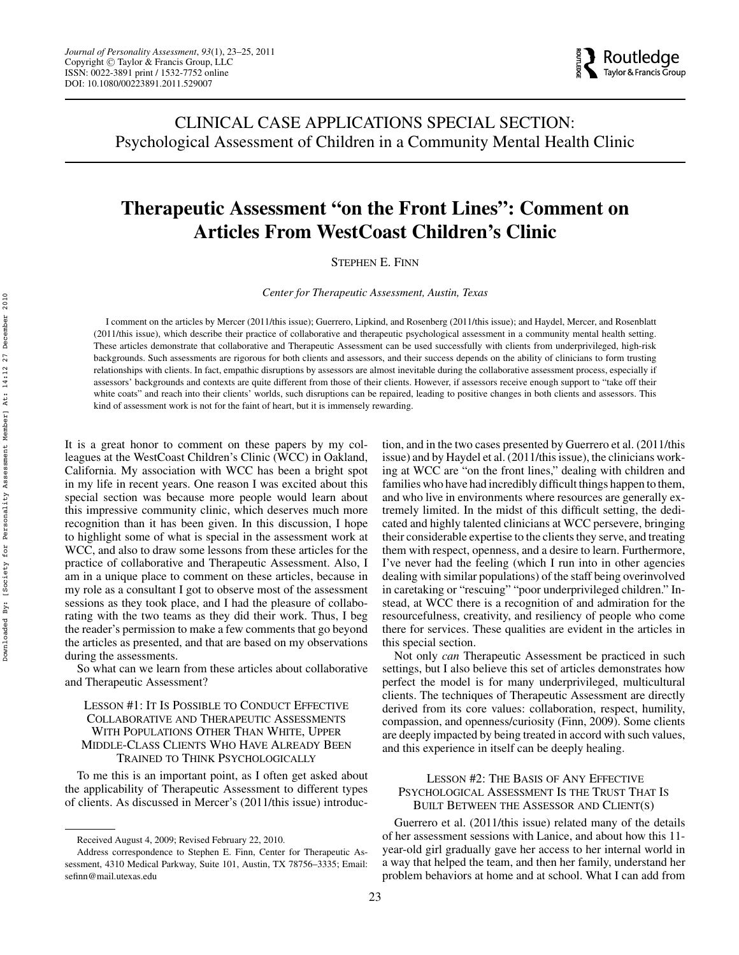

CLINICAL CASE APPLICATIONS SPECIAL SECTION: Psychological Assessment of Children in a Community Mental Health Clinic

# **Therapeutic Assessment "on the Front Lines": Comment on Articles From WestCoast Children's Clinic**

# STEPHEN E. FINN

*Center for Therapeutic Assessment, Austin, Texas*

I comment on the articles by Mercer (2011/this issue); Guerrero, Lipkind, and Rosenberg (2011/this issue); and Haydel, Mercer, and Rosenblatt (2011/this issue), which describe their practice of collaborative and therapeutic psychological assessment in a community mental health setting. These articles demonstrate that collaborative and Therapeutic Assessment can be used successfully with clients from underprivileged, high-risk backgrounds. Such assessments are rigorous for both clients and assessors, and their success depends on the ability of clinicians to form trusting relationships with clients. In fact, empathic disruptions by assessors are almost inevitable during the collaborative assessment process, especially if assessors' backgrounds and contexts are quite different from those of their clients. However, if assessors receive enough support to "take off their white coats" and reach into their clients' worlds, such disruptions can be repaired, leading to positive changes in both clients and assessors. This kind of assessment work is not for the faint of heart, but it is immensely rewarding.

It is a great honor to comment on these papers by my colleagues at the WestCoast Children's Clinic (WCC) in Oakland, California. My association with WCC has been a bright spot in my life in recent years. One reason I was excited about this special section was because more people would learn about this impressive community clinic, which deserves much more recognition than it has been given. In this discussion, I hope to highlight some of what is special in the assessment work at WCC, and also to draw some lessons from these articles for the practice of collaborative and Therapeutic Assessment. Also, I am in a unique place to comment on these articles, because in my role as a consultant I got to observe most of the assessment sessions as they took place, and I had the pleasure of collaborating with the two teams as they did their work. Thus, I beg the reader's permission to make a few comments that go beyond the articles as presented, and that are based on my observations during the assessments.

So what can we learn from these articles about collaborative and Therapeutic Assessment?

## LESSON #1: IT IS POSSIBLE TO CONDUCT EFFECTIVE COLLABORATIVE AND THERAPEUTIC ASSESSMENTS WITH POPULATIONS OTHER THAN WHITE, UPPER MIDDLE-CLASS CLIENTS WHO HAVE ALREADY BEEN TRAINED TO THINK PSYCHOLOGICALLY

To me this is an important point, as I often get asked about the applicability of Therapeutic Assessment to different types of clients. As discussed in Mercer's (2011/this issue) introduction, and in the two cases presented by Guerrero et al. (2011/this issue) and by Haydel et al. (2011/this issue), the clinicians working at WCC are "on the front lines," dealing with children and families who have had incredibly difficult things happen to them, and who live in environments where resources are generally extremely limited. In the midst of this difficult setting, the dedicated and highly talented clinicians at WCC persevere, bringing their considerable expertise to the clients they serve, and treating them with respect, openness, and a desire to learn. Furthermore, I've never had the feeling (which I run into in other agencies dealing with similar populations) of the staff being overinvolved in caretaking or "rescuing" "poor underprivileged children." Instead, at WCC there is a recognition of and admiration for the resourcefulness, creativity, and resiliency of people who come there for services. These qualities are evident in the articles in this special section.

Not only *can* Therapeutic Assessment be practiced in such settings, but I also believe this set of articles demonstrates how perfect the model is for many underprivileged, multicultural clients. The techniques of Therapeutic Assessment are directly derived from its core values: collaboration, respect, humility, compassion, and openness/curiosity (Finn, 2009). Some clients are deeply impacted by being treated in accord with such values, and this experience in itself can be deeply healing.

## LESSON #2: THE BASIS OF ANY EFFECTIVE PSYCHOLOGICAL ASSESSMENT IS THE TRUST THAT IS BUILT BETWEEN THE ASSESSOR AND CLIENT(S)

Guerrero et al. (2011/this issue) related many of the details of her assessment sessions with Lanice, and about how this 11 year-old girl gradually gave her access to her internal world in a way that helped the team, and then her family, understand her problem behaviors at home and at school. What I can add from

Received August 4, 2009; Revised February 22, 2010.

Address correspondence to Stephen E. Finn, Center for Therapeutic Assessment, 4310 Medical Parkway, Suite 101, Austin, TX 78756–3335; Email: sefinn@mail.utexas.edu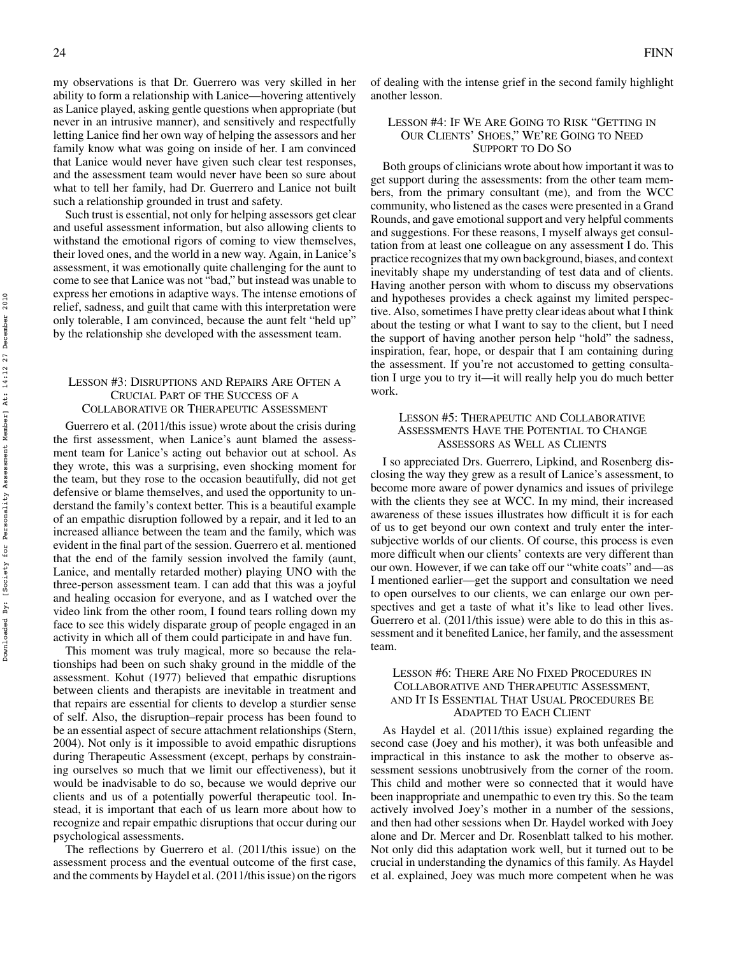my observations is that Dr. Guerrero was very skilled in her ability to form a relationship with Lanice—hovering attentively as Lanice played, asking gentle questions when appropriate (but never in an intrusive manner), and sensitively and respectfully letting Lanice find her own way of helping the assessors and her family know what was going on inside of her. I am convinced that Lanice would never have given such clear test responses, and the assessment team would never have been so sure about what to tell her family, had Dr. Guerrero and Lanice not built such a relationship grounded in trust and safety.

Such trust is essential, not only for helping assessors get clear and useful assessment information, but also allowing clients to withstand the emotional rigors of coming to view themselves, their loved ones, and the world in a new way. Again, in Lanice's assessment, it was emotionally quite challenging for the aunt to come to see that Lanice was not "bad," but instead was unable to express her emotions in adaptive ways. The intense emotions of relief, sadness, and guilt that came with this interpretation were only tolerable, I am convinced, because the aunt felt "held up" by the relationship she developed with the assessment team.

## LESSON #3: DISRUPTIONS AND REPAIRS ARE OFTEN A CRUCIAL PART OF THE SUCCESS OF A COLLABORATIVE OR THERAPEUTIC ASSESSMENT

Guerrero et al. (2011/this issue) wrote about the crisis during the first assessment, when Lanice's aunt blamed the assessment team for Lanice's acting out behavior out at school. As they wrote, this was a surprising, even shocking moment for the team, but they rose to the occasion beautifully, did not get defensive or blame themselves, and used the opportunity to understand the family's context better. This is a beautiful example of an empathic disruption followed by a repair, and it led to an increased alliance between the team and the family, which was evident in the final part of the session. Guerrero et al. mentioned that the end of the family session involved the family (aunt, Lanice, and mentally retarded mother) playing UNO with the three-person assessment team. I can add that this was a joyful and healing occasion for everyone, and as I watched over the video link from the other room, I found tears rolling down my face to see this widely disparate group of people engaged in an activity in which all of them could participate in and have fun.

This moment was truly magical, more so because the relationships had been on such shaky ground in the middle of the assessment. Kohut (1977) believed that empathic disruptions between clients and therapists are inevitable in treatment and that repairs are essential for clients to develop a sturdier sense of self. Also, the disruption–repair process has been found to be an essential aspect of secure attachment relationships (Stern, 2004). Not only is it impossible to avoid empathic disruptions during Therapeutic Assessment (except, perhaps by constraining ourselves so much that we limit our effectiveness), but it would be inadvisable to do so, because we would deprive our clients and us of a potentially powerful therapeutic tool. Instead, it is important that each of us learn more about how to recognize and repair empathic disruptions that occur during our psychological assessments.

The reflections by Guerrero et al. (2011/this issue) on the assessment process and the eventual outcome of the first case, and the comments by Haydel et al. (2011/this issue) on the rigors

of dealing with the intense grief in the second family highlight another lesson.

## LESSON #4: IF WE ARE GOING TO RISK "GETTING IN OUR CLIENTS' SHOES," WE'RE GOING TO NEED SUPPORT TO DO SO

Both groups of clinicians wrote about how important it was to get support during the assessments: from the other team members, from the primary consultant (me), and from the WCC community, who listened as the cases were presented in a Grand Rounds, and gave emotional support and very helpful comments and suggestions. For these reasons, I myself always get consultation from at least one colleague on any assessment I do. This practice recognizes that my own background, biases, and context inevitably shape my understanding of test data and of clients. Having another person with whom to discuss my observations and hypotheses provides a check against my limited perspective. Also, sometimes I have pretty clear ideas about what I think about the testing or what I want to say to the client, but I need the support of having another person help "hold" the sadness, inspiration, fear, hope, or despair that I am containing during the assessment. If you're not accustomed to getting consultation I urge you to try it—it will really help you do much better work.

## LESSON #5: THERAPEUTIC AND COLLABORATIVE ASSESSMENTS HAVE THE POTENTIAL TO CHANGE ASSESSORS AS WELL AS CLIENTS

I so appreciated Drs. Guerrero, Lipkind, and Rosenberg disclosing the way they grew as a result of Lanice's assessment, to become more aware of power dynamics and issues of privilege with the clients they see at WCC. In my mind, their increased awareness of these issues illustrates how difficult it is for each of us to get beyond our own context and truly enter the intersubjective worlds of our clients. Of course, this process is even more difficult when our clients' contexts are very different than our own. However, if we can take off our "white coats" and—as I mentioned earlier—get the support and consultation we need to open ourselves to our clients, we can enlarge our own perspectives and get a taste of what it's like to lead other lives. Guerrero et al. (2011/this issue) were able to do this in this assessment and it benefited Lanice, her family, and the assessment team.

# LESSON #6: THERE ARE NO FIXED PROCEDURES IN COLLABORATIVE AND THERAPEUTIC ASSESSMENT, AND IT IS ESSENTIAL THAT USUAL PROCEDURES BE ADAPTED TO EACH CLIENT

As Haydel et al. (2011/this issue) explained regarding the second case (Joey and his mother), it was both unfeasible and impractical in this instance to ask the mother to observe assessment sessions unobtrusively from the corner of the room. This child and mother were so connected that it would have been inappropriate and unempathic to even try this. So the team actively involved Joey's mother in a number of the sessions, and then had other sessions when Dr. Haydel worked with Joey alone and Dr. Mercer and Dr. Rosenblatt talked to his mother. Not only did this adaptation work well, but it turned out to be crucial in understanding the dynamics of this family. As Haydel et al. explained, Joey was much more competent when he was